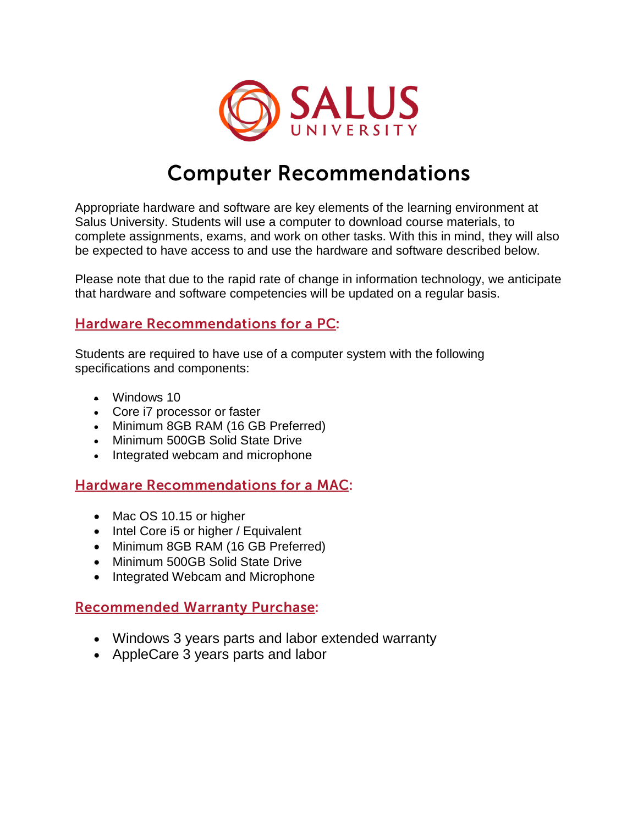

# **Computer Recommendations**

Appropriate hardware and software are key elements of the learning environment at Salus University. Students will use a computer to download course materials, to complete assignments, exams, and work on other tasks. With this in mind, they will also be expected to have access to and use the hardware and software described below.

Please note that due to the rapid rate of change in information technology, we anticipate that hardware and software competencies will be updated on a regular basis.

#### **Hardware Recommendations for a PC:**

Students are required to have use of a computer system with the following specifications and components:

- Windows 10
- Core i7 processor or faster
- Minimum 8GB RAM (16 GB Preferred)
- Minimum 500GB Solid State Drive
- Integrated webcam and microphone

### **Hardware Recommendations for a MAC:**

- Mac OS 10.15 or higher
- $\bullet$  Intel Core i5 or higher / Equivalent
- Minimum 8GB RAM (16 GB Preferred)
- Minimum 500GB Solid State Drive
- Integrated Webcam and Microphone

### **Recommended Warranty Purchase:**

- Windows 3 years parts and labor extended warranty
- AppleCare 3 years parts and labor